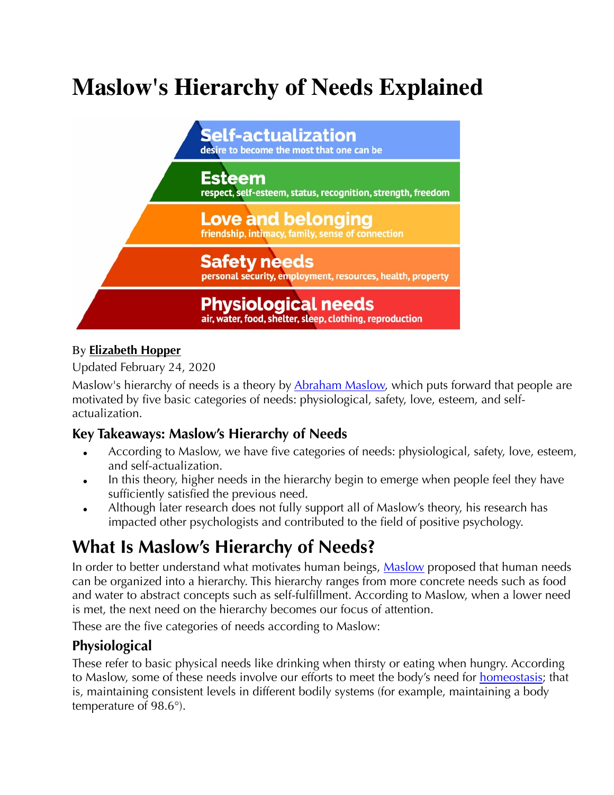# **Maslow's Hierarchy of Needs Explained**



#### By **[Elizabeth Hopper](https://www.thoughtco.com/elizabeth-hopper-4157811)**

Updated February 24, 2020

Maslow's hierarchy of needs is a theory by [Abraham Maslow,](https://www.thoughtco.com/abraham-maslow-quotes-2795686) which puts forward that people are motivated by five basic categories of needs: physiological, safety, love, esteem, and selfactualization.

#### **Key Takeaways: Maslow's Hierarchy of Needs**

- According to Maslow, we have five categories of needs: physiological, safety, love, esteem, and self-actualization.
- In this theory, higher needs in the hierarchy begin to emerge when people feel they have sufficiently satisfied the previous need.
- Although later research does not fully support all of Maslow's theory, his research has impacted other psychologists and contributed to the field of positive psychology.

## **What Is Maslow's Hierarchy of Needs?**

In order to better understand what motivates human beings, [Maslow](http://psycnet.apa.org/record/1943-03751-001) proposed that human needs can be organized into a hierarchy. This hierarchy ranges from more concrete needs such as food and water to abstract concepts such as self-fulfillment. According to Maslow, when a lower need is met, the next need on the hierarchy becomes our focus of attention.

These are the five categories of needs according to Maslow:

#### **Physiological**

These refer to basic physical needs like drinking when thirsty or eating when hungry. According to Maslow, some of these needs involve our efforts to meet the body's need for [homeostasis](https://www.thoughtco.com/homeostasis-defined-373304); that is, maintaining consistent levels in different bodily systems (for example, maintaining a body temperature of 98.6°).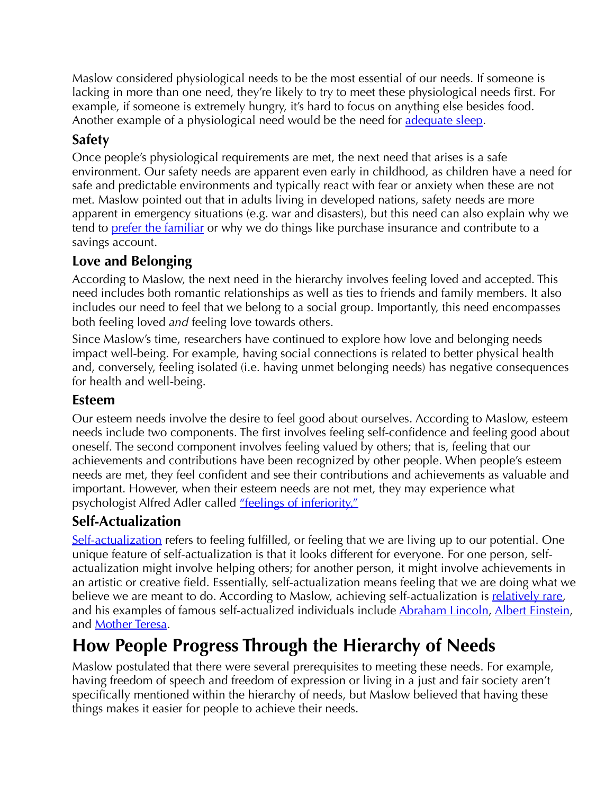Maslow considered physiological needs to be the most essential of our needs. If someone is lacking in more than one need, they're likely to try to meet these physiological needs first. For example, if someone is extremely hungry, it's hard to focus on anything else besides food. Another example of a physiological need would be the need for [adequate sleep.](https://www.thoughtco.com/can-lack-of-sleep-really-damage-your-brain-2795013)

#### **Safety**

Once people's physiological requirements are met, the next need that arises is a safe environment. Our safety needs are apparent even early in childhood, as children have a need for safe and predictable environments and typically react with fear or anxiety when these are not met. Maslow pointed out that in adults living in developed nations, safety needs are more apparent in emergency situations (e.g. war and disasters), but this need can also explain why we tend to [prefer the familiar](https://www.thoughtco.com/status-quo-bias-4172981) or why we do things like purchase insurance and contribute to a savings account.

#### **Love and Belonging**

According to Maslow, the next need in the hierarchy involves feeling loved and accepted. This need includes both romantic relationships as well as ties to friends and family members. It also includes our need to feel that we belong to a social group. Importantly, this need encompasses both feeling loved *and* feeling love towards others.

Since Maslow's time, researchers have continued to explore how love and belonging needs impact well-being. For example, having social connections is related to better physical health and, conversely, feeling isolated (i.e. having unmet belonging needs) has negative consequences for health and well-being.

#### **Esteem**

Our esteem needs involve the desire to feel good about ourselves. According to Maslow, esteem needs include two components. The first involves feeling self-confidence and feeling good about oneself. The second component involves feeling valued by others; that is, feeling that our achievements and contributions have been recognized by other people. When people's esteem needs are met, they feel confident and see their contributions and achievements as valuable and important. However, when their esteem needs are not met, they may experience what psychologist Alfred Adler called ["feelings of inferiority."](https://www.thoughtco.com/adlerian-therapy-stages-4173522)

#### **Self-Actualization**

[Self-actualization](https://www.thoughtco.com/maslow-theory-self-actualization-4169662) refers to feeling fulfilled, or feeling that we are living up to our potential. One unique feature of self-actualization is that it looks different for everyone. For one person, selfactualization might involve helping others; for another person, it might involve achievements in an artistic or creative field. Essentially, self-actualization means feeling that we are doing what we believe we are meant to do. According to Maslow, achieving self-actualization is [relatively rare](https://www.bbc.com/news/magazine-23902918), and his examples of famous self-actualized individuals include [Abraham Lincoln](https://www.thoughtco.com/abraham-lincoln-16th-president-united-states-104273), [Albert Einstein](https://www.thoughtco.com/albert-einstein-astronomy-3072221), and **Mother Teresa**.

### **How People Progress Through the Hierarchy of Needs**

Maslow postulated that there were several prerequisites to meeting these needs. For example, having freedom of speech and freedom of expression or living in a just and fair society aren't specifically mentioned within the hierarchy of needs, but Maslow believed that having these things makes it easier for people to achieve their needs.